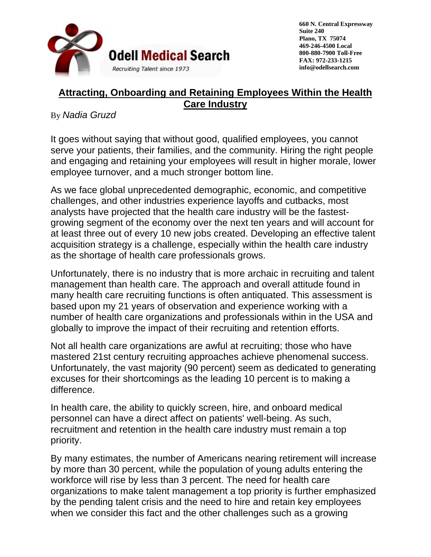

# **Attracting, Onboarding and Retaining Employees Within the Health Care Industry**

# By *Nadia Gruzd*

It goes without saying that without good, qualified employees, you cannot serve your patients, their families, and the community. Hiring the right people and engaging and retaining your employees will result in higher morale, lower employee turnover, and a much stronger bottom line.

As we face global unprecedented demographic, economic, and competitive challenges, and other industries experience layoffs and cutbacks, most analysts have projected that the health care industry will be the fastestgrowing segment of the economy over the next ten years and will account for at least three out of every 10 new jobs created. Developing an effective talent acquisition strategy is a challenge, especially within the health care industry as the shortage of health care professionals grows.

Unfortunately, there is no industry that is more archaic in recruiting and talent management than health care. The approach and overall attitude found in many health care recruiting functions is often antiquated. This assessment is based upon my 21 years of observation and experience working with a number of health care organizations and professionals within in the USA and globally to improve the impact of their recruiting and retention efforts.

Not all health care organizations are awful at recruiting; those who have mastered 21st century recruiting approaches achieve phenomenal success. Unfortunately, the vast majority (90 percent) seem as dedicated to generating excuses for their shortcomings as the leading 10 percent is to making a difference.

In health care, the ability to quickly screen, hire, and onboard medical personnel can have a direct affect on patients' well-being. As such, recruitment and retention in the health care industry must remain a top priority.

By many estimates, the number of Americans nearing retirement will increase by more than 30 percent, while the population of young adults entering the workforce will rise by less than 3 percent. The need for health care organizations to make talent management a top priority is further emphasized by the pending talent crisis and the need to hire and retain key employees when we consider this fact and the other challenges such as a growing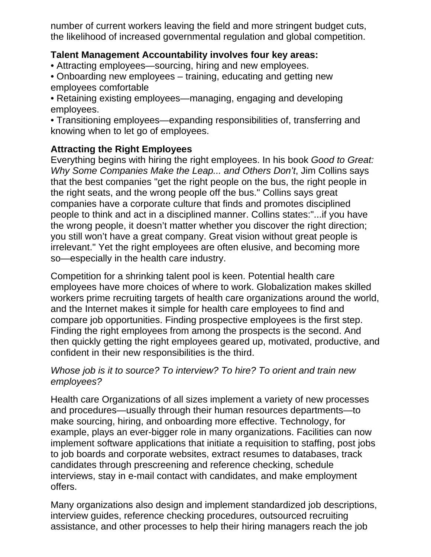number of current workers leaving the field and more stringent budget cuts, the likelihood of increased governmental regulation and global competition.

## **Talent Management Accountability involves four key areas:**

- Attracting employees—sourcing, hiring and new employees.
- Onboarding new employees training, educating and getting new employees comfortable
- Retaining existing employees—managing, engaging and developing employees.
- Transitioning employees—expanding responsibilities of, transferring and knowing when to let go of employees.

# **Attracting the Right Employees**

Everything begins with hiring the right employees. In his book *Good to Great: Why Some Companies Make the Leap... and Others Don't*, Jim Collins says that the best companies "get the right people on the bus, the right people in the right seats, and the wrong people off the bus." Collins says great companies have a corporate culture that finds and promotes disciplined people to think and act in a disciplined manner. Collins states:"...if you have the wrong people, it doesn't matter whether you discover the right direction; you still won't have a great company. Great vision without great people is irrelevant." Yet the right employees are often elusive, and becoming more so—especially in the health care industry.

Competition for a shrinking talent pool is keen. Potential health care employees have more choices of where to work. Globalization makes skilled workers prime recruiting targets of health care organizations around the world, and the Internet makes it simple for health care employees to find and compare job opportunities. Finding prospective employees is the first step. Finding the right employees from among the prospects is the second. And then quickly getting the right employees geared up, motivated, productive, and confident in their new responsibilities is the third.

### *Whose job is it to source? To interview? To hire? To orient and train new employees?*

Health care Organizations of all sizes implement a variety of new processes and procedures—usually through their human resources departments—to make sourcing, hiring, and onboarding more effective. Technology, for example, plays an ever-bigger role in many organizations. Facilities can now implement software applications that initiate a requisition to staffing, post jobs to job boards and corporate websites, extract resumes to databases, track candidates through prescreening and reference checking, schedule interviews, stay in e-mail contact with candidates, and make employment offers.

Many organizations also design and implement standardized job descriptions, interview guides, reference checking procedures, outsourced recruiting assistance, and other processes to help their hiring managers reach the job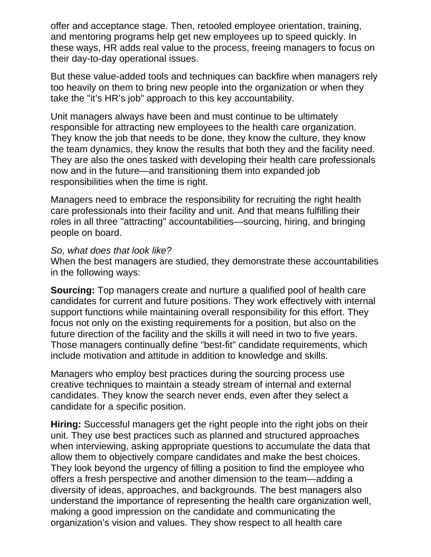offer and acceptance stage. Then, retooled employee orientation, training, and mentoring programs help get new employees up to speed quickly. In these ways, HR adds real value to the process, freeing managers to focus on their day-to-day operational issues.

But these value-added tools and techniques can backfire when managers rely too heavily on them to bring new people into the organization or when they take the "it's HR's job" approach to this key accountability.

Unit managers always have been and must continue to be ultimately responsible for attracting new employees to the health care organization. They know the job that needs to be done, they know the culture, they know the team dynamics, they know the results that both they and the facility need. They are also the ones tasked with developing their health care professionals now and in the future—and transitioning them into expanded job responsibilities when the time is right.

Managers need to embrace the responsibility for recruiting the right health care professionals into their facility and unit. And that means fulfilling their roles in all three "attracting" accountabilities—sourcing, hiring, and bringing people on board.

#### *So, what does that look like?*

When the best managers are studied, they demonstrate these accountabilities in the following ways:

**Sourcing:** Top managers create and nurture a qualified pool of health care candidates for current and future positions. They work effectively with internal support functions while maintaining overall responsibility for this effort. They focus not only on the existing requirements for a position, but also on the future direction of the facility and the skills it will need in two to five years. Those managers continually define "best-fit" candidate requirements, which include motivation and attitude in addition to knowledge and skills.

Managers who employ best practices during the sourcing process use creative techniques to maintain a steady stream of internal and external candidates. They know the search never ends, even after they select a candidate for a specific position.

**Hiring:** Successful managers get the right people into the right jobs on their unit. They use best practices such as planned and structured approaches when interviewing, asking appropriate questions to accumulate the data that allow them to objectively compare candidates and make the best choices. They look beyond the urgency of filling a position to find the employee who offers a fresh perspective and another dimension to the team—adding a diversity of ideas, approaches, and backgrounds. The best managers also understand the importance of representing the health care organization well, making a good impression on the candidate and communicating the organization's vision and values. They show respect to all health care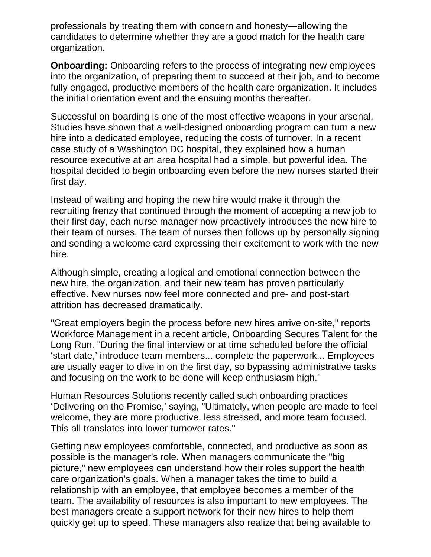professionals by treating them with concern and honesty—allowing the candidates to determine whether they are a good match for the health care organization.

**Onboarding:** Onboarding refers to the process of integrating new employees into the organization, of preparing them to succeed at their job, and to become fully engaged, productive members of the health care organization. It includes the initial orientation event and the ensuing months thereafter.

Successful on boarding is one of the most effective weapons in your arsenal. Studies have shown that a well-designed onboarding program can turn a new hire into a dedicated employee, reducing the costs of turnover. In a recent case study of a Washington DC hospital, they explained how a human resource executive at an area hospital had a simple, but powerful idea. The hospital decided to begin onboarding even before the new nurses started their first day.

Instead of waiting and hoping the new hire would make it through the recruiting frenzy that continued through the moment of accepting a new job to their first day, each nurse manager now proactively introduces the new hire to their team of nurses. The team of nurses then follows up by personally signing and sending a welcome card expressing their excitement to work with the new hire.

Although simple, creating a logical and emotional connection between the new hire, the organization, and their new team has proven particularly effective. New nurses now feel more connected and pre- and post-start attrition has decreased dramatically.

"Great employers begin the process before new hires arrive on-site," reports Workforce Management in a recent article, Onboarding Secures Talent for the Long Run. "During the final interview or at time scheduled before the official 'start date,' introduce team members... complete the paperwork... Employees are usually eager to dive in on the first day, so bypassing administrative tasks and focusing on the work to be done will keep enthusiasm high."

Human Resources Solutions recently called such onboarding practices 'Delivering on the Promise,' saying, "Ultimately, when people are made to feel welcome, they are more productive, less stressed, and more team focused. This all translates into lower turnover rates."

Getting new employees comfortable, connected, and productive as soon as possible is the manager's role. When managers communicate the "big picture," new employees can understand how their roles support the health care organization's goals. When a manager takes the time to build a relationship with an employee, that employee becomes a member of the team. The availability of resources is also important to new employees. The best managers create a support network for their new hires to help them quickly get up to speed. These managers also realize that being available to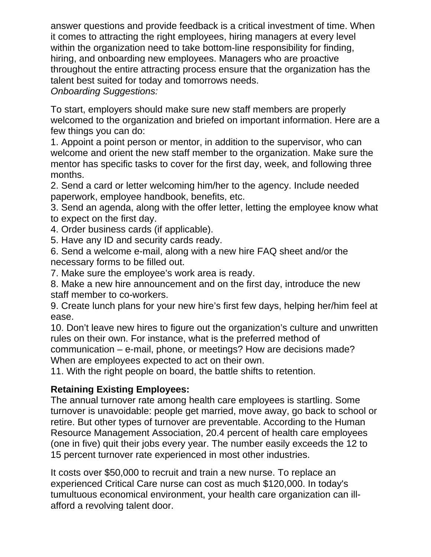answer questions and provide feedback is a critical investment of time. When it comes to attracting the right employees, hiring managers at every level within the organization need to take bottom-line responsibility for finding, hiring, and onboarding new employees. Managers who are proactive throughout the entire attracting process ensure that the organization has the talent best suited for today and tomorrows needs. *Onboarding Suggestions:*

To start, employers should make sure new staff members are properly welcomed to the organization and briefed on important information. Here are a few things you can do:

1. Appoint a point person or mentor, in addition to the supervisor, who can welcome and orient the new staff member to the organization. Make sure the mentor has specific tasks to cover for the first day, week, and following three months.

2. Send a card or letter welcoming him/her to the agency. Include needed paperwork, employee handbook, benefits, etc.

3. Send an agenda, along with the offer letter, letting the employee know what to expect on the first day.

4. Order business cards (if applicable).

5. Have any ID and security cards ready.

6. Send a welcome e-mail, along with a new hire FAQ sheet and/or the necessary forms to be filled out.

7. Make sure the employee's work area is ready.

8. Make a new hire announcement and on the first day, introduce the new staff member to co-workers.

9. Create lunch plans for your new hire's first few days, helping her/him feel at ease.

10. Don't leave new hires to figure out the organization's culture and unwritten rules on their own. For instance, what is the preferred method of

communication – e-mail, phone, or meetings? How are decisions made? When are employees expected to act on their own.

11. With the right people on board, the battle shifts to retention.

## **Retaining Existing Employees:**

The annual turnover rate among health care employees is startling. Some turnover is unavoidable: people get married, move away, go back to school or retire. But other types of turnover are preventable. According to the Human Resource Management Association, 20.4 percent of health care employees (one in five) quit their jobs every year. The number easily exceeds the 12 to 15 percent turnover rate experienced in most other industries.

It costs over \$50,000 to recruit and train a new nurse. To replace an experienced Critical Care nurse can cost as much \$120,000. In today's tumultuous economical environment, your health care organization can illafford a revolving talent door.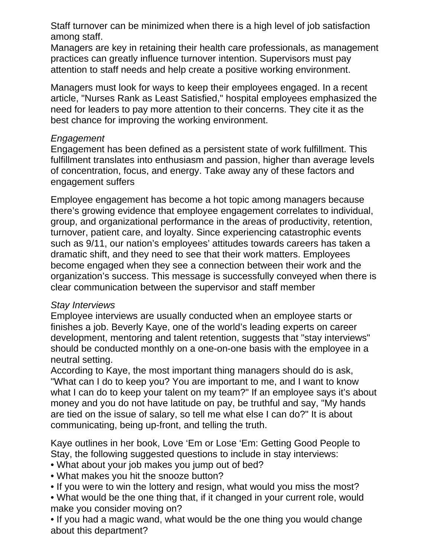Staff turnover can be minimized when there is a high level of job satisfaction among staff.

Managers are key in retaining their health care professionals, as management practices can greatly influence turnover intention. Supervisors must pay attention to staff needs and help create a positive working environment.

Managers must look for ways to keep their employees engaged. In a recent article, "Nurses Rank as Least Satisfied," hospital employees emphasized the need for leaders to pay more attention to their concerns. They cite it as the best chance for improving the working environment.

### *Engagement*

Engagement has been defined as a persistent state of work fulfillment. This fulfillment translates into enthusiasm and passion, higher than average levels of concentration, focus, and energy. Take away any of these factors and engagement suffers

Employee engagement has become a hot topic among managers because there's growing evidence that employee engagement correlates to individual, group, and organizational performance in the areas of productivity, retention, turnover, patient care, and loyalty. Since experiencing catastrophic events such as 9/11, our nation's employees' attitudes towards careers has taken a dramatic shift, and they need to see that their work matters. Employees become engaged when they see a connection between their work and the organization's success. This message is successfully conveyed when there is clear communication between the supervisor and staff member

#### *Stay Interviews*

Employee interviews are usually conducted when an employee starts or finishes a job. Beverly Kaye, one of the world's leading experts on career development, mentoring and talent retention, suggests that "stay interviews" should be conducted monthly on a one-on-one basis with the employee in a neutral setting.

According to Kaye, the most important thing managers should do is ask, "What can I do to keep you? You are important to me, and I want to know what I can do to keep your talent on my team?" If an employee says it's about money and you do not have latitude on pay, be truthful and say, "My hands are tied on the issue of salary, so tell me what else I can do?" It is about communicating, being up-front, and telling the truth.

Kaye outlines in her book, Love 'Em or Lose 'Em: Getting Good People to Stay, the following suggested questions to include in stay interviews:

• What about your job makes you jump out of bed?

• What makes you hit the snooze button?

• If you were to win the lottery and resign, what would you miss the most?

• What would be the one thing that, if it changed in your current role, would make you consider moving on?

• If you had a magic wand, what would be the one thing you would change about this department?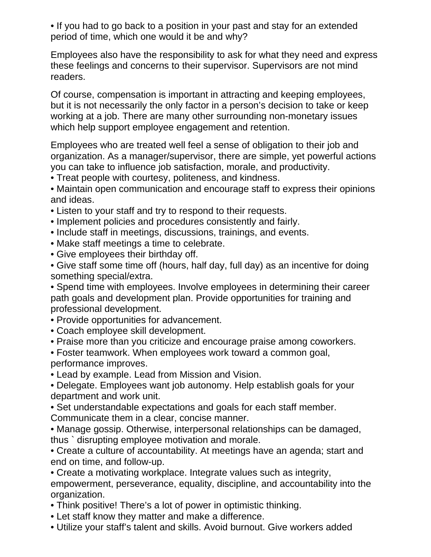• If you had to go back to a position in your past and stay for an extended period of time, which one would it be and why?

Employees also have the responsibility to ask for what they need and express these feelings and concerns to their supervisor. Supervisors are not mind readers.

Of course, compensation is important in attracting and keeping employees, but it is not necessarily the only factor in a person's decision to take or keep working at a job. There are many other surrounding non-monetary issues which help support employee engagement and retention.

Employees who are treated well feel a sense of obligation to their job and organization. As a manager/supervisor, there are simple, yet powerful actions you can take to influence job satisfaction, morale, and productivity.

• Treat people with courtesy, politeness, and kindness.

• Maintain open communication and encourage staff to express their opinions and ideas.

- Listen to your staff and try to respond to their requests.
- Implement policies and procedures consistently and fairly.
- Include staff in meetings, discussions, trainings, and events.
- Make staff meetings a time to celebrate.
- Give employees their birthday off.

• Give staff some time off (hours, half day, full day) as an incentive for doing something special/extra.

• Spend time with employees. Involve employees in determining their career path goals and development plan. Provide opportunities for training and professional development.

- Provide opportunities for advancement.
- Coach employee skill development.
- Praise more than you criticize and encourage praise among coworkers.
- Foster teamwork. When employees work toward a common goal, performance improves.
- Lead by example. Lead from Mission and Vision.
- Delegate. Employees want job autonomy. Help establish goals for your department and work unit.
- Set understandable expectations and goals for each staff member. Communicate them in a clear, concise manner.
- Manage gossip. Otherwise, interpersonal relationships can be damaged, thus ` disrupting employee motivation and morale.
- Create a culture of accountability. At meetings have an agenda; start and end on time, and follow-up.

• Create a motivating workplace. Integrate values such as integrity, empowerment, perseverance, equality, discipline, and accountability into the organization.

- Think positive! There's a lot of power in optimistic thinking.
- Let staff know they matter and make a difference.
- Utilize your staff's talent and skills. Avoid burnout. Give workers added